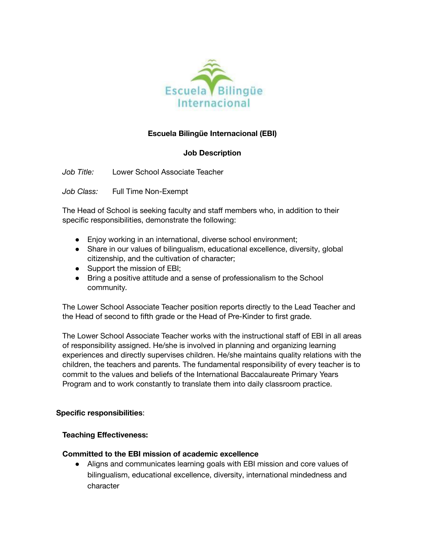

# **Escuela Bilingüe Internacional (EBI)**

## **Job Description**

*Job Title:* Lower School Associate Teacher

*Job Class:* Full Time Non-Exempt

The Head of School is seeking faculty and staff members who, in addition to their specific responsibilities, demonstrate the following:

- Enjoy working in an international, diverse school environment;
- Share in our values of bilingualism, educational excellence, diversity, global citizenship, and the cultivation of character;
- Support the mission of EBI;
- Bring a positive attitude and a sense of professionalism to the School community.

The Lower School Associate Teacher position reports directly to the Lead Teacher and the Head of second to fifth grade or the Head of Pre-Kinder to first grade.

The Lower School Associate Teacher works with the instructional staff of EBI in all areas of responsibility assigned. He/she is involved in planning and organizing learning experiences and directly supervises children. He/she maintains quality relations with the children, the teachers and parents. The fundamental responsibility of every teacher is to commit to the values and beliefs of the International Baccalaureate Primary Years Program and to work constantly to translate them into daily classroom practice.

#### **Specific responsibilities**:

#### **Teaching Effectiveness:**

#### **Committed to the EBI mission of academic excellence**

● Aligns and communicates learning goals with EBI mission and core values of bilingualism, educational excellence, diversity, international mindedness and character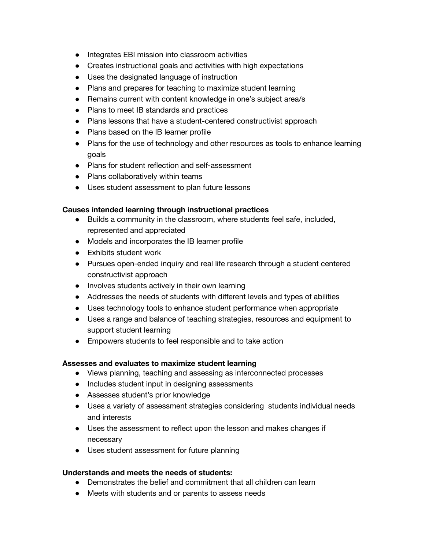- Integrates EBI mission into classroom activities
- Creates instructional goals and activities with high expectations
- Uses the designated language of instruction
- Plans and prepares for teaching to maximize student learning
- Remains current with content knowledge in one's subject area/s
- Plans to meet IB standards and practices
- Plans lessons that have a student-centered constructivist approach
- Plans based on the IB learner profile
- Plans for the use of technology and other resources as tools to enhance learning goals
- Plans for student reflection and self-assessment
- Plans collaboratively within teams
- Uses student assessment to plan future lessons

#### **Causes intended learning through instructional practices**

- Builds a community in the classroom, where students feel safe, included, represented and appreciated
- Models and incorporates the IB learner profile
- Exhibits student work
- Pursues open-ended inquiry and real life research through a student centered constructivist approach
- Involves students actively in their own learning
- Addresses the needs of students with different levels and types of abilities
- Uses technology tools to enhance student performance when appropriate
- Uses a range and balance of teaching strategies, resources and equipment to support student learning
- Empowers students to feel responsible and to take action

#### **Assesses and evaluates to maximize student learning**

- Views planning, teaching and assessing as interconnected processes
- Includes student input in designing assessments
- Assesses student's prior knowledge
- Uses a variety of assessment strategies considering students individual needs and interests
- Uses the assessment to reflect upon the lesson and makes changes if necessary
- Uses student assessment for future planning

#### **Understands and meets the needs of students:**

- Demonstrates the belief and commitment that all children can learn
- Meets with students and or parents to assess needs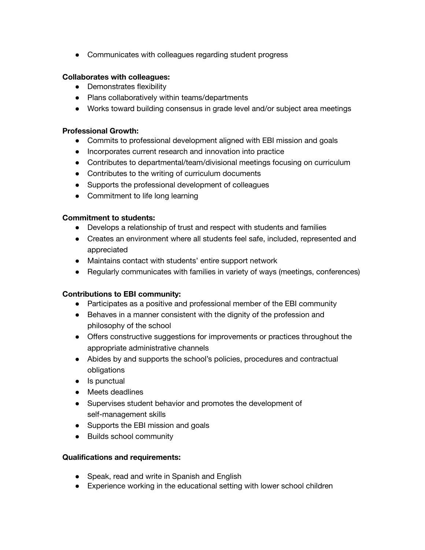● Communicates with colleagues regarding student progress

### **Collaborates with colleagues:**

- Demonstrates flexibility
- Plans collaboratively within teams/departments
- Works toward building consensus in grade level and/or subject area meetings

#### **Professional Growth:**

- Commits to professional development aligned with EBI mission and goals
- Incorporates current research and innovation into practice
- Contributes to departmental/team/divisional meetings focusing on curriculum
- Contributes to the writing of curriculum documents
- Supports the professional development of colleagues
- Commitment to life long learning

#### **Commitment to students:**

- Develops a relationship of trust and respect with students and families
- Creates an environment where all students feel safe, included, represented and appreciated
- Maintains contact with students' entire support network
- Regularly communicates with families in variety of ways (meetings, conferences)

#### **Contributions to EBI community:**

- Participates as a positive and professional member of the EBI community
- Behaves in a manner consistent with the dignity of the profession and philosophy of the school
- Offers constructive suggestions for improvements or practices throughout the appropriate administrative channels
- Abides by and supports the school's policies, procedures and contractual obligations
- Is punctual
- Meets deadlines
- Supervises student behavior and promotes the development of self-management skills
- Supports the EBI mission and goals
- Builds school community

#### **Qualifications and requirements:**

- Speak, read and write in Spanish and English
- Experience working in the educational setting with lower school children